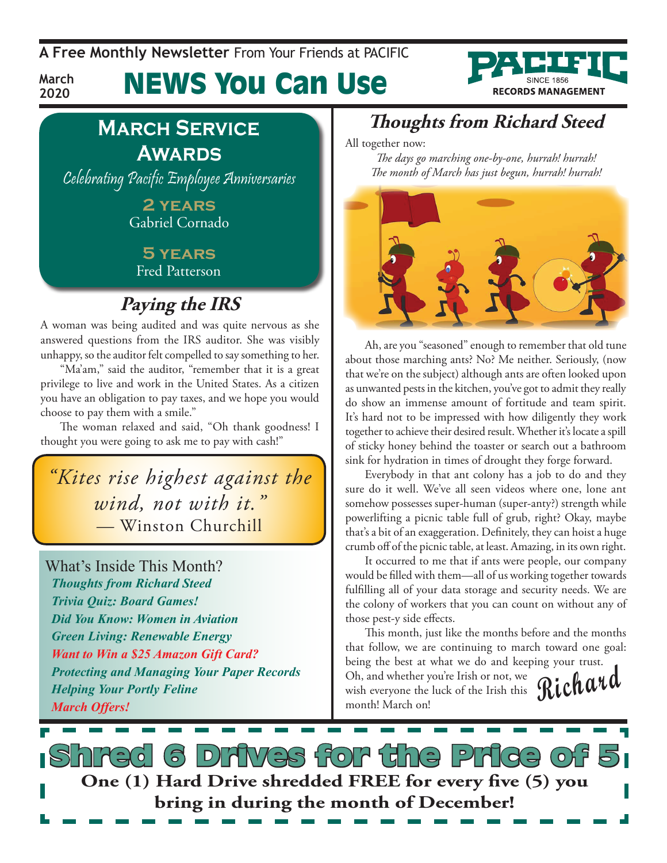**A Free Monthly Newsletter** From Your Friends at Pacific

# News You Can Use



### **March Service Awards**

**March 2020**

Celebrating Pacific Employee Anniversaries

**2 years** Gabriel Cornado

#### **5 years** Fred Patterson

### **Paying the IRS**

A woman was being audited and was quite nervous as she answered questions from the IRS auditor. She was visibly unhappy, so the auditor felt compelled to say something to her.

"Ma'am," said the auditor, "remember that it is a great privilege to live and work in the United States. As a citizen you have an obligation to pay taxes, and we hope you would choose to pay them with a smile."

The woman relaxed and said, "Oh thank goodness! I thought you were going to ask me to pay with cash!"

*"Kites rise highest against the wind, not with it." —* Winston Churchill

What's Inside This Month? *Thoughts from Richard Steed Trivia Quiz: Board Games! Did You Know: Women in Aviation Green Living: Renewable Energy Want to Win a \$25 Amazon Gift Card? Protecting and Managing Your Paper Records Helping Your Portly Feline March Offers!*

### **Thoughts from Richard Steed**

All together now:

*The days go marching one-by-one, hurrah! hurrah! The month of March has just begun, hurrah! hurrah!*



Ah, are you "seasoned" enough to remember that old tune about those marching ants? No? Me neither. Seriously, (now that we're on the subject) although ants are often looked upon as unwanted pests in the kitchen, you've got to admit they really do show an immense amount of fortitude and team spirit. It's hard not to be impressed with how diligently they work together to achieve their desired result. Whether it's locate a spill of sticky honey behind the toaster or search out a bathroom sink for hydration in times of drought they forge forward.

Everybody in that ant colony has a job to do and they sure do it well. We've all seen videos where one, lone ant somehow possesses super-human (super-anty?) strength while powerlifting a picnic table full of grub, right? Okay, maybe that's a bit of an exaggeration. Definitely, they can hoist a huge crumb off of the picnic table, at least. Amazing, in its own right.

It occurred to me that if ants were people, our company would be filled with them—all of us working together towards fulfilling all of your data storage and security needs. We are the colony of workers that you can count on without any of those pest-y side effects.

This month, just like the months before and the months that follow, we are continuing to march toward one goal: being the best at what we do and keeping your trust.

Oh, and whether you're Irish or not, we<br>wish everyone the luck of the Irish this **Richard** Oh, and whether you're Irish or not, we month! March on!

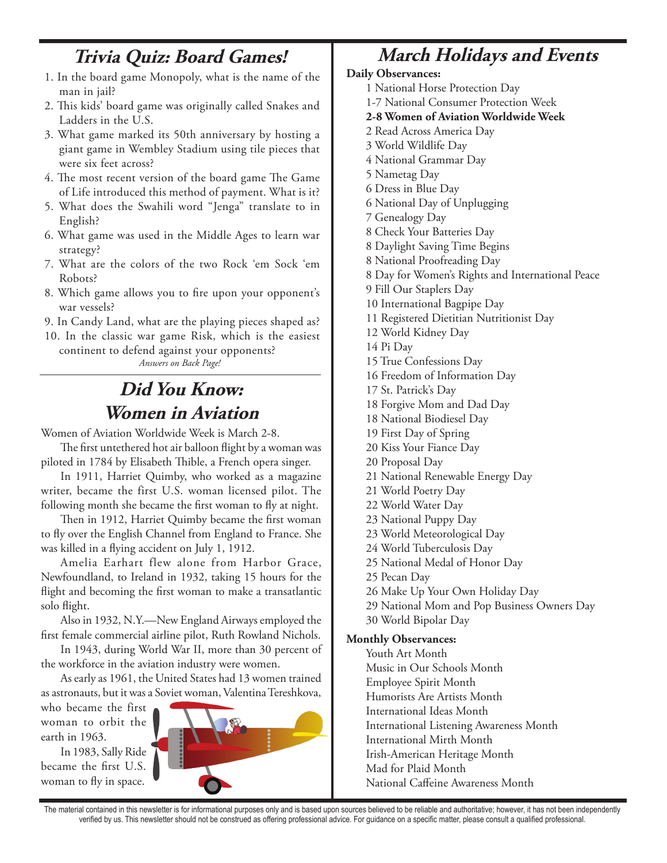#### **Trivia Quiz: Board Games!**

- 1. In the board game Monopoly, what is the name of the man in jail?
- 2. This kids' board game was originally called Snakes and Ladders in the U.S.
- 3. What game marked its 50th anniversary by hosting a giant game in Wembley Stadium using tile pieces that were six feet across?
- 4. The most recent version of the board game The Game of Life introduced this method of payment. What is it?
- 5. What does the Swahili word "Jenga" translate to in English?
- 6. What game was used in the Middle Ages to learn war strategy?
- 7. What are the colors of the two Rock 'em Sock 'em Robots?
- 8. Which game allows you to fire upon your opponent's war vessels?
- 9. In Candy Land, what are the playing pieces shaped as?
- 10. In the classic war game Risk, which is the easiest continent to defend against your opponents?

*Answers on Back Page!*

**Did You Know: Women in Aviation**

Women of Aviation Worldwide Week is March 2-8.

The first untethered hot air balloon flight by a woman was piloted in 1784 by Elisabeth Thible, a French opera singer.

In 1911, Harriet Quimby, who worked as a magazine writer, became the first U.S. woman licensed pilot. The following month she became the first woman to fly at night.

Then in 1912, Harriet Quimby became the first woman to fly over the English Channel from England to France. She was killed in a flying accident on July 1, 1912.

Amelia Earhart flew alone from Harbor Grace, Newfoundland, to Ireland in 1932, taking 15 hours for the flight and becoming the first woman to make a transatlantic solo flight.

Also in 1932, N.Y.—New England Airways employed the first female commercial airline pilot, Ruth Rowland Nichols.

In 1943, during World War II, more than 30 percent of the workforce in the aviation industry were women.

As early as 1961, the United States had 13 women trained as astronauts, but it was a Soviet woman, Valentina Tereshkova,

who became the first woman to orbit the earth in 1963.

In 1983, Sally Ride became the first U.S. woman to fly in space.



### **March Holidays and Events**

#### **Daily Observances:**

- 1 National Horse Protection Day
- 1-7 National Consumer Protection Week
- **2-8 Women of Aviation Worldwide Week**
- 2 Read Across America Day
- 3 World Wildlife Day
- 4 National Grammar Day
- 5 Nametag Day
- 6 Dress in Blue Day
- 6 National Day of Unplugging
- 7 Genealogy Day
- 8 Check Your Batteries Day
- 8 Daylight Saving Time Begins
- 8 National Proofreading Day
- 8 Day for Women's Rights and International Peace
- 9 Fill Our Staplers Day
- 10 International Bagpipe Day
- 11 Registered Dietitian Nutritionist Day
- 12 World Kidney Day

14 Pi Day

- 15 True Confessions Day
- 16 Freedom of Information Day
- 17 St. Patrick's Day
- 18 Forgive Mom and Dad Day
- 18 National Biodiesel Day
- 19 First Day of Spring
- 20 Kiss Your Fiance Day
- 20 Proposal Day
- 21 National Renewable Energy Day
- 21 World Poetry Day
- 22 World Water Day
- 23 National Puppy Day
- 23 World Meteorological Day
- 24 World Tuberculosis Day
- 25 National Medal of Honor Day
- 25 Pecan Day
- 26 Make Up Your Own Holiday Day
- 29 National Mom and Pop Business Owners Day
- 30 World Bipolar Day

#### **Monthly Observances:**

Youth Art Month Music in Our Schools Month Employee Spirit Month Humorists Are Artists Month International Ideas Month International Listening Awareness Month International Mirth Month Irish-American Heritage Month Mad for Plaid Month National Caffeine Awareness Month

The material contained in this newsletter is for informational purposes only and is based upon sources believed to be reliable and authoritative; however, it has not been independently verified by us. This newsletter should not be construed as offering professional advice. For guidance on a specific matter, please consult a qualified professional.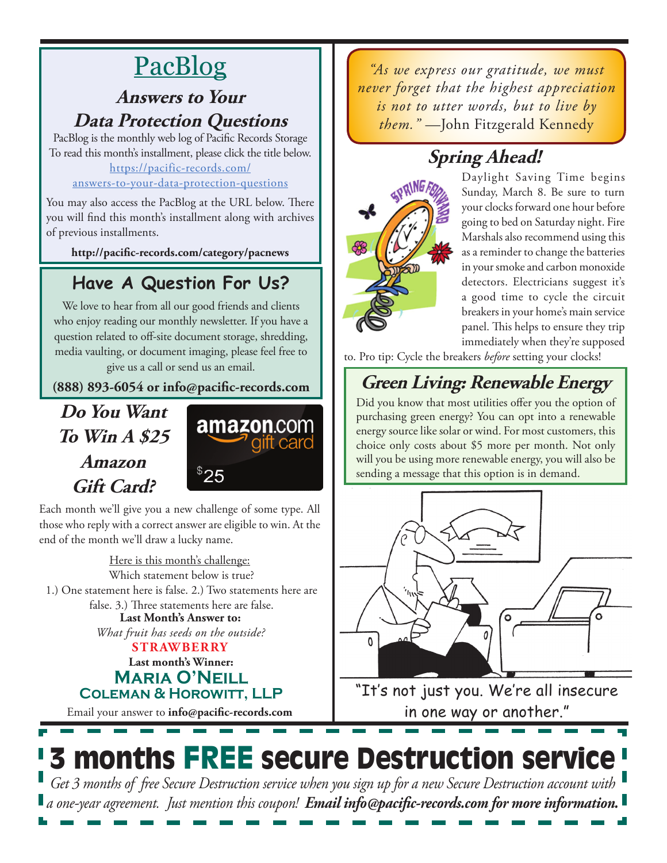# PacBlog

#### **Answers to Your Data Protection Questions**

PacBlog is the monthly web log of Pacific Records Storage To read this month's installment, please click the title below[.](http://pacific-records.com/5-advantages-of-a-local-shredding-and-destruction-provider) [https://pacific-records.com/](https://pacific-records.com/answers-to-your-data-protection-questions)

#### [answers-to-your-data-protection-questions](https://pacific-records.com/answers-to-your-data-protection-questions)

You may also access the PacBlog at the URL below. There you will find this month's installment along with archives of previous installments.

**http://pacific-records.com/category/pacnews**

### **Have A Question For Us?**

We love to hear from all our good friends and clients who enjoy reading our monthly newsletter. If you have a question related to off-site document storage, shredding, media vaulting, or document imaging, please feel free to give us a call or send us an email.

#### **(888) 893-6054 or info@pacific-records.com**

**Do You Want To Win A \$25 Amazon Gift Card?**



Each month we'll give you a new challenge of some type. All those who reply with a correct answer are eligible to win. At the end of the month we'll draw a lucky name.

**Last month's Winner: Maria O'Neill Coleman & Horowitt, LLP** Here is this month's challenge: **STRAWBERRY Last Month's Answer to:**  *What fruit has seeds on the outside?* Which statement below is true? 1.) One statement here is false. 2.) Two statements here are false. 3.) Three statements here are false.

Email your answer to **info@pacific-records.com**

*"As we express our gratitude, we must never forget that the highest appreciation is not to utter words, but to live by them."* —John Fitzgerald Kennedy

# **Spring Ahead!**



Daylight Saving Time begins Sunday, March 8. Be sure to turn your clocks forward one hour before going to bed on Saturday night. Fire Marshals also recommend using this as a reminder to change the batteries in your smoke and carbon monoxide detectors. Electricians suggest it's a good time to cycle the circuit breakers in your home's main service panel. This helps to ensure they trip immediately when they're supposed

to. Pro tip: Cycle the breakers *before* setting your clocks!

# **Green Living: Renewable Energy**

Did you know that most utilities offer you the option of purchasing green energy? You can opt into a renewable energy source like solar or wind. For most customers, this choice only costs about \$5 more per month. Not only will you be using more renewable energy, you will also be sending a message that this option is in demand.



"It's not just you. We're all insecure in one way or another."

# 3 months FREE secure Destruction service

*Get 3 months of free Secure Destruction service when you sign up for a new Secure Destruction account with a one-year agreement. Just mention this coupon! Email info@pacific-records.com for more information.*